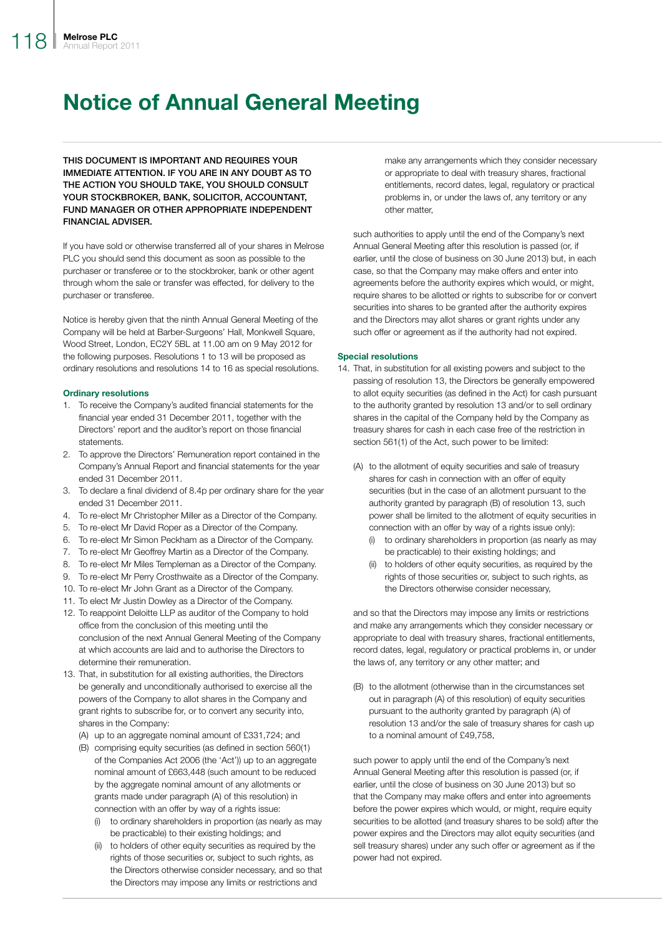# Notice of Annual General Meeting

THIS DOCUMENT IS IMPORTANT AND REQUIRES YOUR IMMEDIATE ATTENTION. IF YOU ARE IN ANY DOUBT AS TO THE ACTION YOU SHOULD TAKE, YOU SHOULD CONSULT YOUR STOCKBROKER, BANK, SOLICITOR, ACCOUNTANT, FUND MANAGER OR OTHER APPROPRIATE INDEPENDENT FINANCIAL ADVISER.

If you have sold or otherwise transferred all of your shares in Melrose PLC you should send this document as soon as possible to the purchaser or transferee or to the stockbroker, bank or other agent through whom the sale or transfer was effected, for delivery to the purchaser or transferee.

Notice is hereby given that the ninth Annual General Meeting of the Company will be held at Barber-Surgeons' Hall, Monkwell Square, Wood Street, London, EC2Y 5BL at 11.00 am on 9 May 2012 for the following purposes. Resolutions 1 to 13 will be proposed as ordinary resolutions and resolutions 14 to 16 as special resolutions.

#### Ordinary resolutions

- 1. To receive the Company's audited financial statements for the financial year ended 31 December 2011, together with the Directors' report and the auditor's report on those financial statements.
- 2. To approve the Directors' Remuneration report contained in the Company's Annual Report and financial statements for the year ended 31 December 2011.
- 3. To declare a final dividend of 8.4p per ordinary share for the year ended 31 December 2011.
- 4. To re-elect Mr Christopher Miller as a Director of the Company.
- 5. To re-elect Mr David Roper as a Director of the Company.
- 6. To re-elect Mr Simon Peckham as a Director of the Company.
- 7. To re-elect Mr Geoffrey Martin as a Director of the Company.
- 8. To re-elect Mr Miles Templeman as a Director of the Company.
- 9. To re-elect Mr Perry Crosthwaite as a Director of the Company.
- 10. To re-elect Mr John Grant as a Director of the Company.
- 11. To elect Mr Justin Dowley as a Director of the Company.
- 12. To reappoint Deloitte LLP as auditor of the Company to hold office from the conclusion of this meeting until the conclusion of the next Annual General Meeting of the Company at which accounts are laid and to authorise the Directors to determine their remuneration.
- 13. That, in substitution for all existing authorities, the Directors be generally and unconditionally authorised to exercise all the powers of the Company to allot shares in the Company and grant rights to subscribe for, or to convert any security into, shares in the Company:

(A) up to an aggregate nominal amount of £331,724; and

- (B) comprising equity securities (as defined in section 560(1) of the Companies Act 2006 (the 'Act')) up to an aggregate nominal amount of £663,448 (such amount to be reduced by the aggregate nominal amount of any allotments or grants made under paragraph (A) of this resolution) in connection with an offer by way of a rights issue:
	- (i) to ordinary shareholders in proportion (as nearly as may be practicable) to their existing holdings; and
	- (ii) to holders of other equity securities as required by the rights of those securities or, subject to such rights, as the Directors otherwise consider necessary, and so that the Directors may impose any limits or restrictions and

make any arrangements which they consider necessary or appropriate to deal with treasury shares, fractional entitlements, record dates, legal, regulatory or practical problems in, or under the laws of, any territory or any other matter,

such authorities to apply until the end of the Company's next Annual General Meeting after this resolution is passed (or, if earlier, until the close of business on 30 June 2013) but, in each case, so that the Company may make offers and enter into agreements before the authority expires which would, or might, require shares to be allotted or rights to subscribe for or convert securities into shares to be granted after the authority expires and the Directors may allot shares or grant rights under any such offer or agreement as if the authority had not expired.

#### Special resolutions

- 14. That, in substitution for all existing powers and subject to the passing of resolution 13, the Directors be generally empowered to allot equity securities (as defined in the Act) for cash pursuant to the authority granted by resolution 13 and/or to sell ordinary shares in the capital of the Company held by the Company as treasury shares for cash in each case free of the restriction in section 561(1) of the Act, such power to be limited:
	- (A) to the allotment of equity securities and sale of treasury shares for cash in connection with an offer of equity securities (but in the case of an allotment pursuant to the authority granted by paragraph (B) of resolution 13, such power shall be limited to the allotment of equity securities in connection with an offer by way of a rights issue only):
		- (i) to ordinary shareholders in proportion (as nearly as may be practicable) to their existing holdings; and
		- (ii) to holders of other equity securities, as required by the rights of those securities or, subject to such rights, as the Directors otherwise consider necessary,

and so that the Directors may impose any limits or restrictions and make any arrangements which they consider necessary or appropriate to deal with treasury shares, fractional entitlements, record dates, legal, regulatory or practical problems in, or under the laws of, any territory or any other matter; and

(B) to the allotment (otherwise than in the circumstances set out in paragraph (A) of this resolution) of equity securities pursuant to the authority granted by paragraph (A) of resolution 13 and/or the sale of treasury shares for cash up to a nominal amount of £49,758,

such power to apply until the end of the Company's next Annual General Meeting after this resolution is passed (or, if earlier, until the close of business on 30 June 2013) but so that the Company may make offers and enter into agreements before the power expires which would, or might, require equity securities to be allotted (and treasury shares to be sold) after the power expires and the Directors may allot equity securities (and sell treasury shares) under any such offer or agreement as if the power had not expired.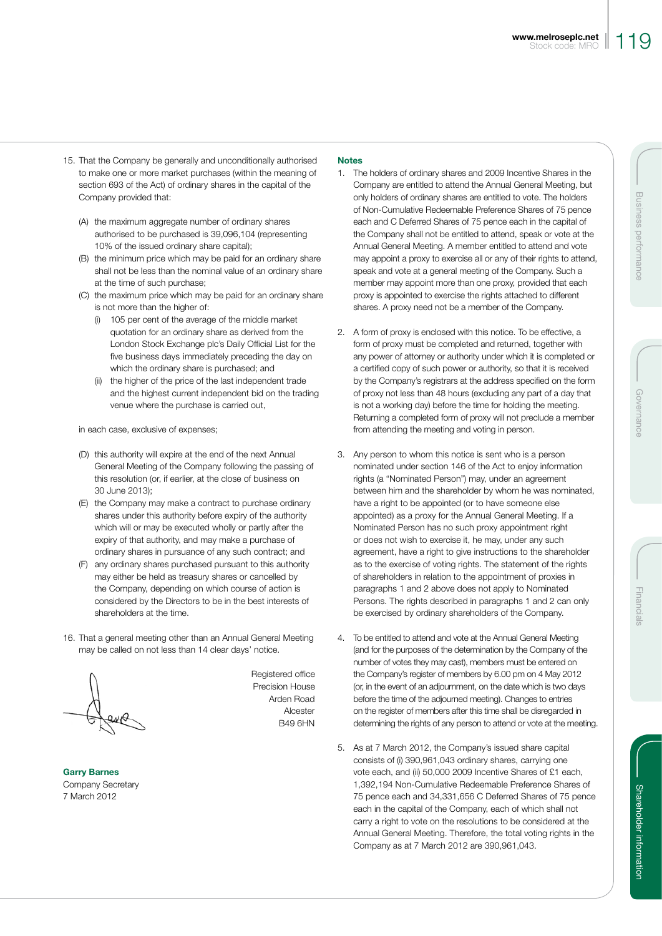- 15. That the Company be generally and unconditionally authorised to make one or more market purchases (within the meaning of section 693 of the Act) of ordinary shares in the capital of the Company provided that:
	- (A) the maximum aggregate number of ordinary shares authorised to be purchased is 39,096,104 (representing 10% of the issued ordinary share capital);
	- (B) the minimum price which may be paid for an ordinary share shall not be less than the nominal value of an ordinary share at the time of such purchase;
	- (C) the maximum price which may be paid for an ordinary share is not more than the higher of:
		- (i) 105 per cent of the average of the middle market quotation for an ordinary share as derived from the London Stock Exchange plc's Daily Official List for the five business days immediately preceding the day on which the ordinary share is purchased; and
		- (ii) the higher of the price of the last independent trade and the highest current independent bid on the trading venue where the purchase is carried out,

in each case, exclusive of expenses;

- (D) this authority will expire at the end of the next Annual General Meeting of the Company following the passing of this resolution (or, if earlier, at the close of business on 30 June 2013);
- (E) the Company may make a contract to purchase ordinary shares under this authority before expiry of the authority which will or may be executed wholly or partly after the expiry of that authority, and may make a purchase of ordinary shares in pursuance of any such contract; and
- (F) any ordinary shares purchased pursuant to this authority may either be held as treasury shares or cancelled by the Company, depending on which course of action is considered by the Directors to be in the best interests of shareholders at the time.
- 16. That a general meeting other than an Annual General Meeting may be called on not less than 14 clear days' notice.

Registered office Precision House Arden Road Alcester B49 6HN

Garry Barnes Company Secretary 7 March 2012

### **Notes**

- 1. The holders of ordinary shares and 2009 Incentive Shares in the Company are entitled to attend the Annual General Meeting, but only holders of ordinary shares are entitled to vote. The holders of Non-Cumulative Redeemable Preference Shares of 75 pence each and C Deferred Shares of 75 pence each in the capital of the Company shall not be entitled to attend, speak or vote at the Annual General Meeting. A member entitled to attend and vote may appoint a proxy to exercise all or any of their rights to attend, speak and vote at a general meeting of the Company. Such a member may appoint more than one proxy, provided that each proxy is appointed to exercise the rights attached to different shares. A proxy need not be a member of the Company.
- 2. A form of proxy is enclosed with this notice. To be effective, a form of proxy must be completed and returned, together with any power of attorney or authority under which it is completed or a certified copy of such power or authority, so that it is received by the Company's registrars at the address specified on the form of proxy not less than 48 hours (excluding any part of a day that is not a working day) before the time for holding the meeting. Returning a completed form of proxy will not preclude a member from attending the meeting and voting in person.
- 3. Any person to whom this notice is sent who is a person nominated under section 146 of the Act to enjoy information rights (a "Nominated Person") may, under an agreement between him and the shareholder by whom he was nominated, have a right to be appointed (or to have someone else appointed) as a proxy for the Annual General Meeting. If a Nominated Person has no such proxy appointment right or does not wish to exercise it, he may, under any such agreement, have a right to give instructions to the shareholder as to the exercise of voting rights. The statement of the rights of shareholders in relation to the appointment of proxies in paragraphs 1 and 2 above does not apply to Nominated Persons. The rights described in paragraphs 1 and 2 can only be exercised by ordinary shareholders of the Company.
- 4. To be entitled to attend and vote at the Annual General Meeting (and for the purposes of the determination by the Company of the number of votes they may cast), members must be entered on the Company's register of members by 6.00 pm on 4 May 2012 (or, in the event of an adjournment, on the date which is two days before the time of the adjourned meeting). Changes to entries on the register of members after this time shall be disregarded in determining the rights of any person to attend or vote at the meeting.
- 5. As at 7 March 2012, the Company's issued share capital consists of (i) 390,961,043 ordinary shares, carrying one vote each, and (ii) 50,000 2009 Incentive Shares of £1 each, 1,392,194 Non-Cumulative Redeemable Preference Shares of 75 pence each and 34,331,656 C Deferred Shares of 75 pence each in the capital of the Company, each of which shall not carry a right to vote on the resolutions to be considered at the Annual General Meeting. Therefore, the total voting rights in the Company as at 7 March 2012 are 390,961,043.